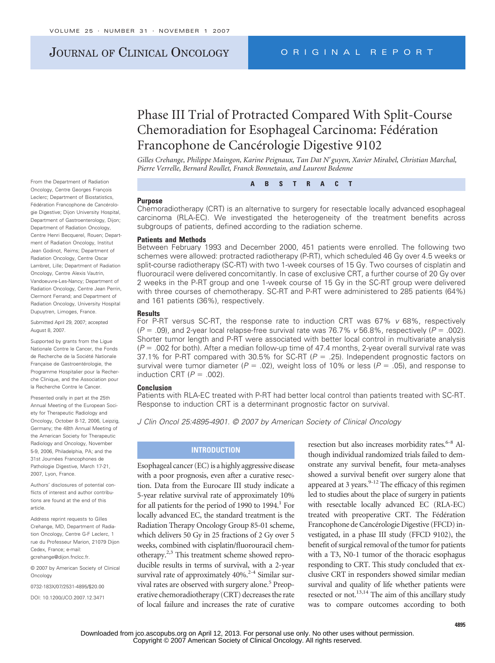# JOURNAL OF CLINICAL ONCOLOGY ORIGINAL REPORT

# Phase III Trial of Protracted Compared With Split-Course Chemoradiation for Esophageal Carcinoma: Fédération Francophone de Cancérologie Digestive 9102

*Gilles Crehange, Philippe Maingon, Karine Peignaux, Tan Dat Nguyen, Xavier Mirabel, Christian Marchal, Pierre Verrelle, Bernard Roullet, Franck Bonnetain, and Laurent Bedenne*

**ABSTRACT**

#### **Purpose**

Chemoradiotherapy (CRT) is an alternative to surgery for resectable locally advanced esophageal carcinoma (RLA-EC). We investigated the heterogeneity of the treatment benefits across subgroups of patients, defined according to the radiation scheme.

### **Patients and Methods**

Between February 1993 and December 2000, 451 patients were enrolled. The following two schemes were allowed: protracted radiotherapy (P-RT), which scheduled 46 Gy over 4.5 weeks or split-course radiotherapy (SC-RT) with two 1-week courses of 15 Gy. Two courses of cisplatin and fluorouracil were delivered concomitantly. In case of exclusive CRT, a further course of 20 Gy over 2 weeks in the P-RT group and one 1-week course of 15 Gy in the SC-RT group were delivered with three courses of chemotherapy. SC-RT and P-RT were administered to 285 patients (64%) and 161 patients (36%), respectively.

#### **Results**

For P-RT versus SC-RT, the response rate to induction CRT was 67% *v* 68%, respectively  $(P = .09)$ , and 2-year local relapse-free survival rate was 76.7% *v* 56.8%, respectively ( $P = .002$ ). Shorter tumor length and P-RT were associated with better local control in multivariate analysis (*P* - .002 for both). After a median follow-up time of 47.4 months, 2-year overall survival rate was 37.1% for P-RT compared with 30.5% for SC-RT ( $P = .25$ ). Independent prognostic factors on survival were tumor diameter ( $P = .02$ ), weight loss of 10% or less ( $P = .05$ ), and response to induction CRT  $(P = .002)$ .

#### **Conclusion**

Patients with RLA-EC treated with P-RT had better local control than patients treated with SC-RT. Response to induction CRT is a determinant prognostic factor on survival.

*J Clin Oncol 25:4895-4901. © 2007 by American Society of Clinical Oncology*

## **INTRODUCTION**

Esophageal cancer (EC) is a highly aggressive disease with a poor prognosis, even after a curative resection. Data from the Eurocare III study indicate a 5-year relative survival rate of approximately 10% for all patients for the period of 1990 to  $1994<sup>1</sup>$  For locally advanced EC, the standard treatment is the Radiation Therapy Oncology Group 85-01 scheme, which delivers 50 Gy in 25 fractions of 2 Gy over 5 weeks, combined with cisplatin/fluorouracil chemotherapy.2,3 This treatment scheme showed reproducible results in terms of survival, with a 2-year survival rate of approximately  $40\%$ <sup>2-4</sup> Similar survival rates are observed with surgery alone.<sup>5</sup> Preoperative chemoradiotherapy (CRT) decreases the rate of local failure and increases the rate of curative resection but also increases morbidity rates.<sup>6-8</sup> Although individual randomized trials failed to demonstrate any survival benefit, four meta-analyses showed a survival benefit over surgery alone that appeared at 3 years. $9-12$  The efficacy of this regimen led to studies about the place of surgery in patients with resectable locally advanced EC (RLA-EC) treated with preoperative CRT. The Fédération Francophone de Cancérologie Digestive (FFCD) investigated, in a phase III study (FFCD 9102), the benefit of surgical removal of the tumor for patients with a T3, N0-1 tumor of the thoracic esophagus responding to CRT. This study concluded that exclusive CRT in responders showed similar median survival and quality of life whether patients were resected or not.<sup>13,14</sup> The aim of this ancillary study was to compare outcomes according to both

From the Department of Radiation Oncology, Centre Georges François Leclerc; Department of Biostatistics, Fédération Francophone de Cancérologie Digestive; Dijon University Hospital, Department of Gastroenterology, Dijon; Department of Radiation Oncology, Centre Henri Becquerel, Rouen; Department of Radiation Oncology, Institut Jean Godinot, Reims; Department of Radiation Oncology, Centre Oscar Lambret, Lille; Department of Radiation Oncology, Centre Alexis Vautrin, Vandoeuvre-Les-Nancy; Department of Radiation Oncology, Centre Jean Perrin, Clermont Ferrand; and Department of Radiation Oncology, University Hospital Dupuytren, Limoges, France.

Submitted April 29, 2007; accepted August 8, 2007.

Supported by grants from the Lique Nationale Contre le Cancer, the Fonds de Recherche de la Société Nationale Francaise de Gastroentérologie, the Programme Hospitalier pour la Recherche Clinique, and the Association pour la Recherche Contre le Cancer.

Presented orally in part at the 25th Annual Meeting of the European Society for Therapeutic Radiology and Oncology, October 8-12, 2006, Leipzig, Germany; the 48th Annual Meeting of the American Society for Therapeutic Radiology and Oncology, November 5-9, 2006, Philadelphia, PA; and the 31st Journées Francophones de Pathologie Digestive, March 17-21, 2007, Lyon, France.

Authors' disclosures of potential conflicts of interest and author contributions are found at the end of this article.

Address reprint requests to Gilles Crehange, MD, Department of Radiation Oncology, Centre G-F Leclerc, 1 rue du Professeur Marion, 21079 Dijon Cedex, France; e-mail: gcrehange@dijon.fnclcc.fr.

© 2007 by American Society of Clinical **Oncology** 

0732-183X/07/2531-4895/\$20.00

DOI: 10.1200/JCO.2007.12.3471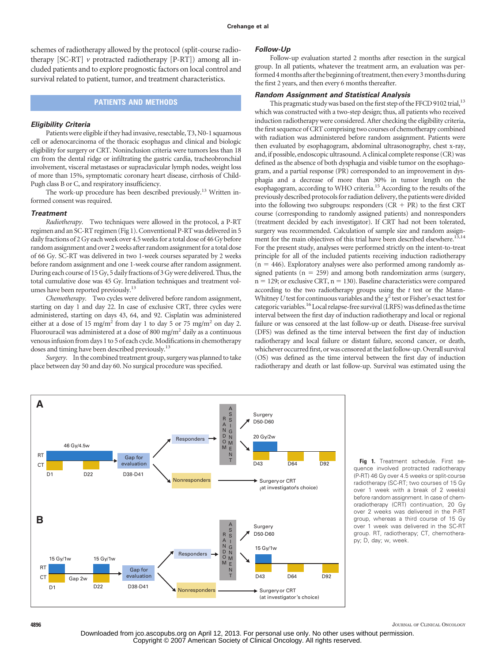schemes of radiotherapy allowed by the protocol (split-course radiotherapy [SC-RT] *v* protracted radiotherapy [P-RT]) among all included patients and to explore prognostic factors on local control and survival related to patient, tumor, and treatment characteristics.

# **PATIENTS AND METHODS**

#### *Eligibility Criteria*

Patients were eligible if they had invasive, resectable, T3, N0-1 squamous cell or adenocarcinoma of the thoracic esophagus and clinical and biologic eligibility for surgery or CRT. Noninclusion criteria were tumors less than 18 cm from the dental ridge or infiltrating the gastric cardia, tracheobronchial involvement, visceral metastases or supraclavicular lymph nodes, weight loss of more than 15%, symptomatic coronary heart disease, cirrhosis of Child-Pugh class B or C, and respiratory insufficiency.

The work-up procedure has been described previously.<sup>13</sup> Written informed consent was required.

#### *Treatment*

*Radiotherapy.* Two techniques were allowed in the protocol, a P-RT regimen and an SC-RT regimen (Fig 1). Conventional P-RT was delivered in 5 daily fractions of 2 Gy each week over 4.5 weeks for a total dose of 46 Gy before random assignment and over 2 weeks after random assignment for a total dose of 66 Gy. SC-RT was delivered in two 1-week courses separated by 2 weeks before random assignment and one 1-week course after random assignment. During each course of 15 Gy, 5 daily fractions of 3 Gy were delivered. Thus, the total cumulative dose was 45 Gy. Irradiation techniques and treatment volumes have been reported previously.<sup>13</sup>

*Chemotherapy.* Two cycles were delivered before random assignment, starting on day 1 and day 22. In case of exclusive CRT, three cycles were administered, starting on days 43, 64, and 92. Cisplatin was administered either at a dose of 15 mg/m<sup>2</sup> from day 1 to day 5 or 75 mg/m<sup>2</sup> on day 2. Fluorouracil was administered at a dose of 800 mg/ $m<sup>2</sup>$  daily as a continuous venous infusion from days 1 to 5 of each cycle. Modifications in chemotherapy doses and timing have been described previously.<sup>13</sup>

*Surgery.* In the combined treatment group, surgery was planned to take place between day 50 and day 60. No surgical procedure was specified.

#### *Follow-Up*

Follow-up evaluation started 2 months after resection in the surgical group. In all patients, whatever the treatment arm, an evaluation was performed 4 months after the beginning of treatment, then every 3 months during the first 2 years, and then every 6 months thereafter.

#### *Random Assignment and Statistical Analysis*

This pragmatic study was based on the first step of the FFCD 9102 trial,<sup>13</sup> which was constructed with a two-step design; thus, all patients who received induction radiotherapy were considered. After checking the eligibility criteria, the first sequence of CRT comprising two courses of chemotherapy combined with radiation was administered before random assignment. Patients were then evaluated by esophagogram, abdominal ultrasonography, chest x-ray, and, if possible, endoscopic ultrasound. A clinical complete response (CR) was defined as the absence of both dysphagia and visible tumor on the esophagogram, and a partial response (PR) corresponded to an improvement in dysphagia and a decrease of more than 30% in tumor length on the esophagogram, according to WHO criteria.15 According to the results of the previously described protocols for radiation delivery, the patients were divided into the following two subgroups: responders  $(CR + PR)$  to the first CRT course (corresponding to randomly assigned patients) and nonresponders (treatment decided by each investigator). If CRT had not been tolerated, surgery was recommended. Calculation of sample size and random assignment for the main objectives of this trial have been described elsewhere.<sup>1</sup> For the present study, analyses were performed strictly on the intent-to-treat principle for all of the included patients receiving induction radiotherapy  $(n = 446)$ . Exploratory analyses were also performed among randomly assigned patients  $(n = 259)$  and among both randomization arms (surgery, n = 129; or exclusive CRT, n = 130). Baseline characteristics were compared according to the two radiotherapy groups using the *t* test or the Mann-Whitney *U* test for continuous variables and the  $\chi^2$  test or Fisher's exact test for categoric variables.<sup>16</sup>Local relapse-free survival (LRFS) was defined as the time interval between the first day of induction radiotherapy and local or regional failure or was censored at the last follow-up or death. Disease-free survival (DFS) was defined as the time interval between the first day of induction radiotherapy and local failure or distant failure, second cancer, or death, whichever occurred first, or was censored at the last follow-up. Overall survival (OS) was defined as the time interval between the first day of induction radiotherapy and death or last follow-up. Survival was estimated using the



**Fig 1.** Treatment schedule. First sequence involved protracted radiotherapy (P-RT) 46 Gy over 4.5 weeks or split-course radiotherapy (SC-RT; two courses of 15 Gy over 1 week with a break of 2 weeks) before random assignment. In case of chemoradiotherapy (CRT) continuation, 20 Gy over 2 weeks was delivered in the P-RT group, whereas a third course of 15 Gy over 1 week was delivered in the SC-RT group. RT, radiotherapy; CT, chemotherapy; D, day; w, week.

**4896** JOURNAL OF CLINICAL ONCOLOGY

Downloaded from jco.ascopubs.org on April 12, 2013. For personal use only. No other uses without permission. Copyright © 2007 American Society of Clinical Oncology. All rights reserved.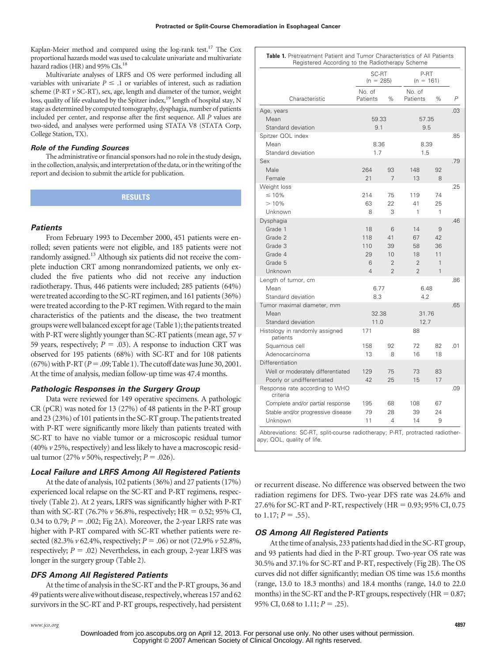Kaplan-Meier method and compared using the log-rank test.<sup>17</sup> The Cox proportional hazards model was used to calculate univariate and multivariate hazard radios (HR) and 95% CIs.<sup>18</sup>

Multivariate analyses of LRFS and OS were performed including all variables with univariate  $P \leq 1$  or variables of interest, such as radiation scheme (P-RT *v* SC-RT), sex, age, length and diameter of the tumor, weight loss, quality of life evaluated by the Spitzer index,<sup>19</sup> length of hospital stay, N stage as determined by computed tomography, dysphagia, number of patients included per center, and response after the first sequence. All *P* values are two-sided, and analyses were performed using STATA V8 (STATA Corp, College Station, TX).

## *Role of the Funding Sources*

The administrative or financial sponsors had no role in the study design, in the collection, analysis, and interpretation of the data, or in the writing of the report and decision to submit the article for publication.

**RESULTS**

#### *Patients*

From February 1993 to December 2000, 451 patients were enrolled; seven patients were not eligible, and 185 patients were not randomly assigned.<sup>13</sup> Although six patients did not receive the complete induction CRT among nonrandomized patients, we only excluded the five patients who did not receive any induction radiotherapy. Thus, 446 patients were included; 285 patients (64%) were treated according to the SC-RT regimen, and 161 patients (36%) were treated according to the P-RT regimen. With regard to the main characteristics of the patients and the disease, the two treatment groups were well balanced except for age (Table 1); the patients treated with P-RT were slightly younger than SC-RT patients (mean age, 57 *v* 59 years, respectively;  $P = .03$ ). A response to induction CRT was observed for 195 patients (68%) with SC-RT and for 108 patients  $(67%)$  with P-RT  $(P = .09;$  Table 1). The cutoff date was June 30, 2001. At the time of analysis, median follow-up time was 47.4 months.

#### *Pathologic Responses in the Surgery Group*

Data were reviewed for 149 operative specimens. A pathologic CR (pCR) was noted for 13 (27%) of 48 patients in the P-RT group and 23 (23%) of 101 patients in the SC-RT group. The patients treated with P-RT were significantly more likely than patients treated with SC-RT to have no viable tumor or a microscopic residual tumor (40% *v* 25%, respectively) and less likely to have a macroscopic residual tumor (27%  $\nu$  50%, respectively; *P* = .026).

#### *Local Failure and LRFS Among All Registered Patients*

At the date of analysis, 102 patients (36%) and 27 patients (17%) experienced local relapse on the SC-RT and P-RT regimens, respectively (Table 2). At 2 years, LRFS was significantly higher with P-RT than with SC-RT (76.7%  $\nu$  56.8%, respectively; HR = 0.52; 95% CI, 0.34 to 0.79;  $P = 0.002$ ; Fig 2A). Moreover, the 2-year LRFS rate was higher with P-RT compared with SC-RT whether patients were resected (82.3% *v* 62.4%, respectively; *P* - .06) or not (72.9% *v* 52.8%, respectively;  $P = .02$ ) Nevertheless, in each group, 2-year LRFS was longer in the surgery group (Table 2).

## *DFS Among All Registered Patients*

At the time of analysis in the SC-RT and the P-RT groups, 36 and 49 patients were alive without disease, respectively, whereas 157 and 62 survivors in the SC-RT and P-RT groups, respectively, had persistent

|                                                                                                            | SC-RT<br>$(n = 285)$ |                | P-RT<br>$(n = 161)$ |      |                |
|------------------------------------------------------------------------------------------------------------|----------------------|----------------|---------------------|------|----------------|
|                                                                                                            | No. of               |                | No. of              |      |                |
| Characteristic                                                                                             | Patients             | %              | Patients            | %    | $\overline{P}$ |
| Age, years                                                                                                 |                      |                |                     |      | .03            |
| Mean                                                                                                       | 59.33                |                | 57.35               |      |                |
| Standard deviation                                                                                         | 9.1                  |                | 9.5                 |      | .85            |
| Spitzer QOL index                                                                                          |                      |                |                     | 8.39 |                |
| Mean<br>Standard deviation                                                                                 | 8.36<br>1.7          |                | 1.5                 |      |                |
| Sex                                                                                                        |                      |                |                     |      | .79            |
| Male                                                                                                       | 264                  | 93             | 148                 | 92   |                |
| Female                                                                                                     | 21                   | 7              | 13                  | 8    |                |
| Weight loss                                                                                                |                      |                |                     |      | .25            |
| $\leq 10\%$                                                                                                | 214                  | 75             | 119                 | 74   |                |
| >10%                                                                                                       | 63                   | 22             | 41                  | 25   |                |
| Unknown                                                                                                    | 8                    | 3              | 1                   | 1    |                |
| Dysphagia                                                                                                  |                      |                |                     |      | .46            |
| Grade 1                                                                                                    | 18                   | 6              | 14                  | 9    |                |
| Grade 2                                                                                                    | 118                  | 41             | 67                  | 42   |                |
| Grade 3                                                                                                    | 110                  | 39             | 58                  | 36   |                |
| Grade 4                                                                                                    | 29                   | 10             | 18                  | 11   |                |
| Grade 5                                                                                                    | 6                    | $\overline{2}$ | $\overline{2}$      | 1    |                |
| Unknown                                                                                                    | 4                    | $\overline{2}$ | $\overline{2}$      | 1    |                |
| Length of tumor, cm                                                                                        |                      |                |                     |      | .86            |
| Mean                                                                                                       | 6.77                 |                | 6.48                |      |                |
| Standard deviation                                                                                         | 8.3                  |                | 4.2                 |      |                |
| Tumor maximal diameter, mm                                                                                 |                      |                |                     |      | .65            |
| Mean                                                                                                       | 32.38                |                | 31.76               |      |                |
| Standard deviation                                                                                         | 11.0                 |                | 12.7                |      |                |
| Histology in randomly assigned<br>patients                                                                 | 171                  |                | 88                  |      |                |
| Squamous cell                                                                                              | 158                  | 92             | 72                  | 82   | .01            |
| Adenocarcinoma                                                                                             | 13                   | 8              | 16                  | 18   |                |
| Differentiation                                                                                            |                      |                |                     |      |                |
| Well or moderately differentiated                                                                          | 129                  | 75             | 73                  | 83   |                |
| Poorly or undifferentiated                                                                                 | 42                   | 25             | 15                  | 17   |                |
| Response rate according to WHO<br>criteria                                                                 |                      |                |                     |      | .09            |
| Complete and/or partial response                                                                           | 195                  | 68             | 108                 | 67   |                |
| Stable and/or progressive disease                                                                          | 79                   | 28             | 39                  | 24   |                |
| Unknown                                                                                                    | 11                   | 4              | 14                  | 9    |                |
| Abbreviations: SC-RT, split-course radiotherapy; P-RT, protracted radiother-<br>apy: QOL, quality of life. |                      |                |                     |      |                |

or recurrent disease. No difference was observed between the two radiation regimens for DFS. Two-year DFS rate was 24.6% and 27.6% for SC-RT and P-RT, respectively (HR =  $0.93$ ; 95% CI, 0.75 to  $1.17; P = .55$ ).

### *OS Among All Registered Patients*

At the time of analysis, 233 patients had died in the SC-RT group, and 93 patients had died in the P-RT group. Two-year OS rate was 30.5% and 37.1% for SC-RT and P-RT, respectively (Fig 2B). The OS curves did not differ significantly; median OS time was 15.6 months (range, 13.0 to 18.3 months) and 18.4 months (range, 14.0 to 22.0 months) in the SC-RT and the P-RT groups, respectively ( $HR = 0.87$ ; 95% CI, 0.68 to  $1.11; P = .25$ ).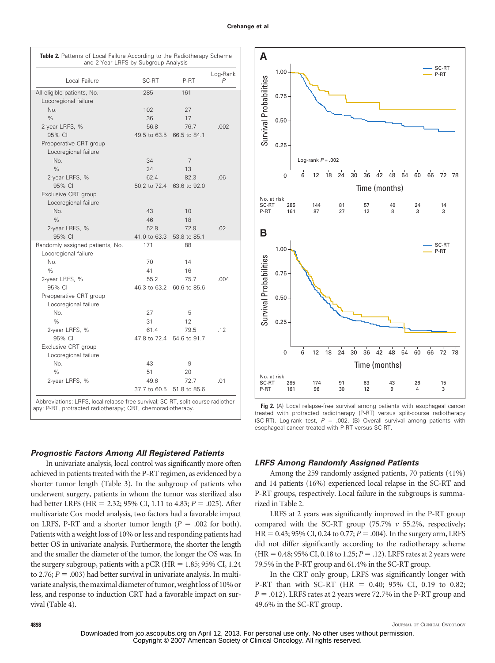| Local Failure                   | SC-RT        | P-RT         | Log-Rank<br>$\overline{P}$ |  |
|---------------------------------|--------------|--------------|----------------------------|--|
| All eligible patients, No.      | 285          | 161          |                            |  |
| Locoregional failure            |              |              |                            |  |
| No.                             | 102          | 27           |                            |  |
| $\%$                            | 36           | 17           |                            |  |
| 2-year LRFS, %                  | 56.8         | 76.7         | .002                       |  |
| 95% CI                          | 49.5 to 63.5 | 66.5 to 84.1 |                            |  |
|                                 |              |              |                            |  |
| Preoperative CRT group          |              |              |                            |  |
| Locoregional failure<br>No.     |              |              |                            |  |
|                                 | 34           | 7            |                            |  |
| $\%$                            | 24           | 13           |                            |  |
| 2-year LRFS, %                  | 62.4         | 82.3         | .06                        |  |
| 95% CI                          | 50.2 to 72.4 | 63.6 to 92.0 |                            |  |
| Exclusive CRT group             |              |              |                            |  |
| Locoregional failure            |              |              |                            |  |
| No.                             | 43           | 10           |                            |  |
| $\frac{9}{6}$                   | 46           | 18           |                            |  |
| 2-year LRFS, %                  | 52.8         | 72.9         | .02                        |  |
| 95% CI                          | 41.0 to 63.3 | 53.8 to 85.1 |                            |  |
| Randomly assigned patients, No. | 171          | 88           |                            |  |
| Locoregional failure            |              |              |                            |  |
| No.                             | 70           | 14           |                            |  |
| $\%$                            | 41           | 16           |                            |  |
| 2-year LRFS, %                  | 55.2         | 75.7         | .004                       |  |
| 95% CI                          | 46.3 to 63.2 | 60.6 to 85.6 |                            |  |
| Preoperative CRT group          |              |              |                            |  |
| Locoregional failure            |              |              |                            |  |
| No.                             | 27           | 5            |                            |  |
| $\%$                            | 31           | 12           |                            |  |
| 2-year LRFS, %                  | 61.4         | 79.5         | .12                        |  |
| 95% CI                          | 47.8 to 72.4 | 54.6 to 91.7 |                            |  |
| Exclusive CRT group             |              |              |                            |  |
| Locoregional failure            |              |              |                            |  |
| No.                             | 43           | 9            |                            |  |
| $\%$                            | 51           | 20           |                            |  |
| 2-year LRFS, %                  | 49.6         | 72.7         | .01                        |  |
|                                 | 37.7 to 60.5 | 51.8 to 85.6 |                            |  |

## *Prognostic Factors Among All Registered Patients*

In univariate analysis, local control was significantly more often achieved in patients treated with the P-RT regimen, as evidenced by a shorter tumor length (Table 3). In the subgroup of patients who underwent surgery, patients in whom the tumor was sterilized also had better LRFS (HR = 2.32; 95% CI, 1.11 to 4.83; *P* = .025). After multivariate Cox model analysis, two factors had a favorable impact on LRFS, P-RT and a shorter tumor length  $(P = .002$  for both). Patients with a weight loss of 10% or less and responding patients had better OS in univariate analysis. Furthermore, the shorter the length and the smaller the diameter of the tumor, the longer the OS was. In the surgery subgroup, patients with a pCR  $(HR = 1.85; 95\% \text{ CI}, 1.24)$ to  $2.76$ ;  $P = .003$ ) had better survival in univariate analysis. In multivariate analysis, the maximal diameter of tumor, weight loss of 10% or less, and response to induction CRT had a favorable impact on survival (Table 4).



**Fig 2.** (A) Local relapse-free survival among patients with esophageal cancer treated with protracted radiotherapy (P-RT) versus split-course radiotherapy  $(SC-RT)$ . Log-rank test,  $P = .002$ . (B) Overall survival among patients with esophageal cancer treated with P-RT versus SC-RT.

## *LRFS Among Randomly Assigned Patients*

Among the 259 randomly assigned patients, 70 patients (41%) and 14 patients (16%) experienced local relapse in the SC-RT and P-RT groups, respectively. Local failure in the subgroups is summarized in Table 2.

LRFS at 2 years was significantly improved in the P-RT group compared with the SC-RT group (75.7% *v* 55.2%, respectively;  $HR = 0.43$ ; 95% CI, 0.24 to 0.77;  $P = .004$ ). In the surgery arm, LRFS did not differ significantly according to the radiotherapy scheme  $(HR = 0.48; 95\% \text{ CI}, 0.18 \text{ to } 1.25; P = .12)$ . LRFS rates at 2 years were 79.5% in the P-RT group and 61.4% in the SC-RT group.

In the CRT only group, LRFS was significantly longer with P-RT than with SC-RT (HR = 0.40; 95% CI, 0.19 to 0.82;  $P = .012$ ). LRFS rates at 2 years were 72.7% in the P-RT group and 49.6% in the SC-RT group.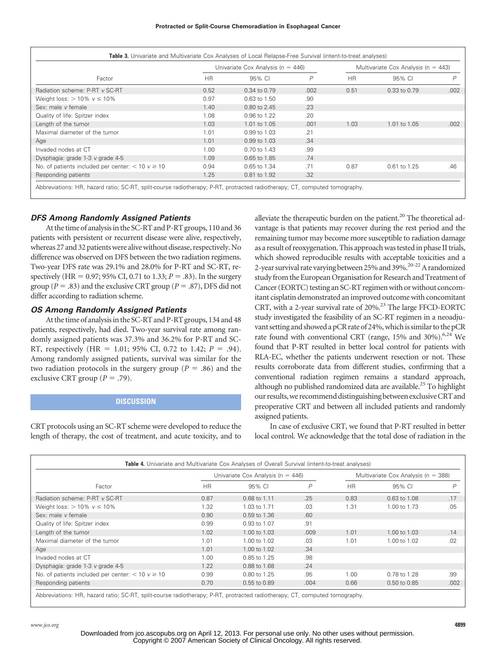| Factor                                                 | Univariate Cox Analysis ( $n = 446$ ) |                |      | Multivariate Cox Analysis ( $n = 443$ ) |              |      |
|--------------------------------------------------------|---------------------------------------|----------------|------|-----------------------------------------|--------------|------|
|                                                        | <b>HR</b>                             | 95% CL         | P    | <b>HR</b>                               | 95% CI       | P    |
| Radiation scheme: P-RT v SC-RT                         | 0.52                                  | 0.34 to 0.79   | .002 | 0.51                                    | 0.33 to 0.79 | .002 |
| Weight loss: $> 10\% \text{ V} \le 10\%$               | 0.97                                  | 0.63 to 1.50   | .90  |                                         |              |      |
| Sex: male v female                                     | 1.40                                  | 0.80 to 2.45   | .23  |                                         |              |      |
| Quality of life: Spitzer index                         | 1.08                                  | 0.96 to 1.22   | .20  |                                         |              |      |
| Length of the tumor                                    | 1.03                                  | 1.01 to 1.05   | .001 | 1.03                                    | 1.01 to 1.05 | .002 |
| Maximal diameter of the tumor                          | 1.01                                  | 0.99 to 1.03   | .21  |                                         |              |      |
| Age                                                    | 1.01                                  | 0.99 to 1.03   | .34  |                                         |              |      |
| Invaded nodes at CT                                    | 1.00                                  | $0.70$ to 1.43 | .99  |                                         |              |      |
| Dysphagia: grade 1-3 v grade 4-5                       | 1.09                                  | 0.65 to 1.85   | .74  |                                         |              |      |
| No. of patients included per center: $<$ 10 $v \ge$ 10 | 0.94                                  | 0.65 to 1.34   | .71  | 0.87                                    | 0.61 to 1.25 | .46  |
| Responding patients                                    | 1.25                                  | 0.81 to 1.92   | .32  |                                         |              |      |

## *DFS Among Randomly Assigned Patients*

At the time of analysis in the SC-RT and P-RT groups, 110 and 36 patients with persistent or recurrent disease were alive, respectively, whereas 27 and 32 patients were alive without disease, respectively. No difference was observed on DFS between the two radiation regimens. Two-year DFS rate was 29.1% and 28.0% for P-RT and SC-RT, respectively (HR =  $0.97$ ;  $95\%$  CI,  $0.71$  to  $1.33$ ;  $P = .83$ ). In the surgery group ( $P = .83$ ) and the exclusive CRT group ( $P = .87$ ), DFS did not differ according to radiation scheme.

## *OS Among Randomly Assigned Patients*

At the time of analysis in the SC-RT and P-RT groups, 134 and 48 patients, respectively, had died. Two-year survival rate among randomly assigned patients was 37.3% and 36.2% for P-RT and SC-RT, respectively (HR = 1.01; 95% CI, 0.72 to 1.42;  $P = .94$ ). Among randomly assigned patients, survival was similar for the two radiation protocols in the surgery group ( $P = .86$ ) and the exclusive CRT group ( $P = .79$ ).

## **DISCUSSION**

CRT protocols using an SC-RT scheme were developed to reduce the length of therapy, the cost of treatment, and acute toxicity, and to

alleviate the therapeutic burden on the patient. $20$  The theoretical advantage is that patients may recover during the rest period and the remaining tumor may become more susceptible to radiation damage as a result of reoxygenation. This approach was tested in phase II trials, which showed reproducible results with acceptable toxicities and a 2-year survival rate varying between 25% and 39%.<sup>20-22</sup> A randomized study from the European Organisation for Research and Treatment of Cancer (EORTC) testing an SC-RT regimen with or without concomitant cisplatin demonstrated an improved outcome with concomitant CRT, with a 2-year survival rate of 20%.23 The large FFCD-EORTC study investigated the feasibility of an SC-RT regimen in a neoadjuvant setting and showed a pCR rate of 24%, which is similar to the pCR rate found with conventional CRT (range,  $15\%$  and  $30\%$ ).<sup>6,24</sup> We found that P-RT resulted in better local control for patients with RLA-EC, whether the patients underwent resection or not. These results corroborate data from different studies, confirming that a conventional radiation regimen remains a standard approach, although no published randomized data are available.<sup>25</sup> To highlight our results, we recommend distinguishing between exclusive CRT and preoperative CRT and between all included patients and randomly assigned patients.

In case of exclusive CRT, we found that P-RT resulted in better local control. We acknowledge that the total dose of radiation in the

| Factor                                                 | Univariate Cox Analysis ( $n = 446$ ) |                  |      | Multivariate Cox Analysis ( $n = 388$ ) |              |      |
|--------------------------------------------------------|---------------------------------------|------------------|------|-----------------------------------------|--------------|------|
|                                                        | <b>HR</b>                             | 95% CI           | P    | <b>HR</b>                               | 95% CI       | P    |
| Radiation scheme: P-RT v SC-RT                         | 0.87                                  | 0.68 to 1.11     | .25  | 0.83                                    | 0.63 to 1.08 | .17  |
| Weight loss: $> 10\% \text{ V} \le 10\%$               | 1.32                                  | 1.03 to 1.71     | .03  | 1.31                                    | 1.00 to 1.73 | .05  |
| Sex: male <i>v</i> female                              | 0.90                                  | 0.59 to 1.36     | .60  |                                         |              |      |
| Quality of life: Spitzer index                         | 0.99                                  | 0.93 to 1.07     | .91  |                                         |              |      |
| Length of the tumor                                    | 1.02                                  | 1.00 to 1.03     | .009 | 1.01                                    | 1.00 to 1.03 | .14  |
| Maximal diameter of the tumor                          | 1.01                                  | 1.00 to 1.02     | .03  | 1.01                                    | 1.00 to 1.02 | .02  |
| Age                                                    | 1.01                                  | 1.00 to 1.02     | .34  |                                         |              |      |
| Invaded nodes at CT                                    | 1.00                                  | 0.85 to 1.25     | .98  |                                         |              |      |
| Dysphagia: grade 1-3 v grade 4-5                       | 1.22                                  | 0.88 to 1.68     | .24  |                                         |              |      |
| No. of patients included per center: $<$ 10 $v \ge$ 10 | 0.99                                  | 0.80 to 1.25     | .95  | 1.00                                    | 0.78 to 1.28 | .99  |
| Responding patients                                    | 0.70                                  | $0.55$ to $0.89$ | .004 | 0.66                                    | 0.50 to 0.85 | .002 |

Abbreviations: HR, hazard ratio; SC-RT, split-course radiotherapy; P-RT, protracted radiotherapy; CT, computed tomography.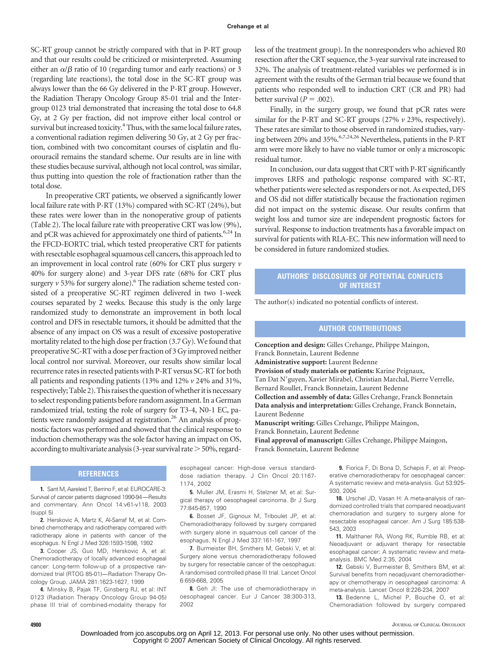SC-RT group cannot be strictly compared with that in P-RT group and that our results could be criticized or misinterpreted. Assuming either an  $\alpha/\beta$  ratio of 10 (regarding tumor and early reactions) or 3 (regarding late reactions), the total dose in the SC-RT group was always lower than the 66 Gy delivered in the P-RT group. However, the Radiation Therapy Oncology Group 85-01 trial and the Intergroup 0123 trial demonstrated that increasing the total dose to 64.8 Gy, at 2 Gy per fraction, did not improve either local control or survival but increased toxicity.<sup>4</sup> Thus, with the same local failure rates, a conventional radiation regimen delivering 50 Gy, at 2 Gy per fraction, combined with two concomitant courses of cisplatin and fluorouracil remains the standard scheme. Our results are in line with these studies because survival, although not local control, was similar, thus putting into question the role of fractionation rather than the total dose.

In preoperative CRT patients, we observed a significantly lower local failure rate with P-RT (13%) compared with SC-RT (24%), but these rates were lower than in the nonoperative group of patients (Table 2). The local failure rate with preoperative CRT was low (9%), and pCR was achieved for approximately one third of patients.<sup>6,24</sup> In the FFCD-EORTC trial, which tested preoperative CRT for patients with resectable esophageal squamous cell cancers, this approach led to an improvement in local control rate (60% for CRT plus surgery *v* 40% for surgery alone) and 3-year DFS rate (68% for CRT plus surgery  $v$  53% for surgery alone).<sup>6</sup> The radiation scheme tested consisted of a preoperative SC-RT regimen delivered in two 1-week courses separated by 2 weeks. Because this study is the only large randomized study to demonstrate an improvement in both local control and DFS in resectable tumors, it should be admitted that the absence of any impact on OS was a result of excessive postoperative mortality related to the high dose per fraction (3.7 Gy). We found that preoperative SC-RT with a dose per fraction of 3 Gy improved neither local control nor survival. Moreover, our results show similar local recurrence rates in resected patients with P-RT versus SC-RT for both all patients and responding patients (13% and 12% *v* 24% and 31%, respectively; Table 2). This raises the question of whether it is necessary to select responding patients before random assignment. In a German randomized trial, testing the role of surgery for T3-4, N0-1 EC, patients were randomly assigned at registration.<sup>26</sup> An analysis of prognostic factors was performed and showed that the clinical response to induction chemotherapy was the sole factor having an impact on OS, according to multivariate analysis (3-year survival rate  $>$  50%, regard-

**REFERENCES**

**1.** Sant M, Aareleid T, Berrino F, et al: EUROCARE-3: Survival of cancer patients diagnosed 1990-94—Results and commentary. Ann Oncol 14:v61-v118, 2003 (suppl 5)

**2.** Herskovic A, Martz K, Al-Sarraf M, et al: Combined chemotherapy and radiotherapy compared with radiotherapy alone in patients with cancer of the esophagus. N Engl J Med 326:1593-1598, 1992

**3.** Cooper JS, Guo MD, Herskovic A, et al: Chemoradiotherapy of locally advanced esophageal cancer: Long-term follow-up of a prospective randomized trial (RTOG 85-01)—Radiation Therapy Oncology Group. JAMA 281:1623-1627, 1999

**4.** Minsky B, Pajak TF, Ginsberg RJ, et al: INT 0123 (Radiation Therapy Oncology Group 94-05) phase III trial of combined-modality therapy for less of the treatment group). In the nonresponders who achieved R0 resection after the CRT sequence, the 3-year survival rate increased to 32%. The analysis of treatment-related variables we performed is in agreement with the results of the German trial because we found that patients who responded well to induction CRT (CR and PR) had better survival  $(P = .002)$ .

Finally, in the surgery group, we found that pCR rates were similar for the P-RT and SC-RT groups (27% *v* 23%, respectively). These rates are similar to those observed in randomized studies, varying between 20% and 35%.<sup>6,7,24,26</sup> Nevertheless, patients in the P-RT arm were more likely to have no viable tumor or only a microscopic residual tumor.

In conclusion, our data suggest that CRT with P-RT significantly improves LRFS and pathologic response compared with SC-RT, whether patients were selected as responders or not. As expected, DFS and OS did not differ statistically because the fractionation regimen did not impact on the systemic disease. Our results confirm that weight loss and tumor size are independent prognostic factors for survival. Response to induction treatments has a favorable impact on survival for patients with RLA-EC. This new information will need to be considered in future randomized studies.

# **AUTHORS' DISCLOSURES OF POTENTIAL CONFLICTS OF INTEREST**

The author(s) indicated no potential conflicts of interest.

# **AUTHOR CONTRIBUTIONS**

**Conception and design:** Gilles Crehange, Philippe Maingon, Franck Bonnetain, Laurent Bedenne **Administrative support:** Laurent Bedenne **Provision of study materials or patients:** Karine Peignaux, Tan Dat N'guyen, Xavier Mirabel, Christian Marchal, Pierre Verrelle, Bernard Roullet, Franck Bonnetain, Laurent Bedenne **Collection and assembly of data:** Gilles Crehange, Franck Bonnetain **Data analysis and interpretation:** Gilles Crehange, Franck Bonnetain, Laurent Bedenne **Manuscript writing:** Gilles Crehange, Philippe Maingon, Franck Bonnetain, Laurent Bedenne

**Final approval of manuscript:** Gilles Crehange, Philippe Maingon, Franck Bonnetain, Laurent Bedenne

esophageal cancer: High-dose versus standarddose radiation therapy. J Clin Oncol 20:1167- 1174, 2002

**5.** Muller JM, Erasmi H, Stelzner M, et al: Surgical therapy of oesophageal carcinoma. Br J Surg 77:845-857, 1990

**6.** Bosset JF, Gignoux M, Triboulet JP, et al: Chemoradiotherapy followed by surgery compared with surgery alone in squamous cell cancer of the esophagus. N Engl J Med 337:161-167, 1997

**7.** Burmeister BH, Smithers M, Gebski V, et al: Surgery alone versus chemoradiotherapy followed by surgery for resectable cancer of the oesophagus: A randomised controlled phase III trial. Lancet Oncol 6:659-668, 2005

**8.** Geh JI: The use of chemoradiotherapy in oesophageal cancer. Eur J Cancer 38:300-313, 2002

**9.** Fiorica F, Di Bona D, Schepis F, et al: Preoperative chemoradiotherapy for oesophageal cancer: A systematic review and meta-analysis. Gut 53:925- 930, 2004

**10.** Urschel JD, Vasan H: A meta-analysis of randomized controlled trials that compared neoadjuvant chemoradiation and surgery to surgery alone for resectable esophageal cancer. Am J Surg 185:538- 543, 2003

**11.** Malthaner RA, Wong RK, Rumble RB, et al: Neoadjuvant or adjuvant therapy for resectable esophageal cancer: A systematic review and metaanalysis. BMC Med 2:35, 2004

**12.** Gebski V, Burmeister B, Smithers BM, et al: Survival benefits from neoadjuvant chemoradiotherapy or chemotherapy in oesophageal carcinoma: A meta-analysis. Lancet Oncol 8:226-234, 2007

**13.** Bedenne L, Michel P, Bouche O, et al: Chemoradiation followed by surgery compared